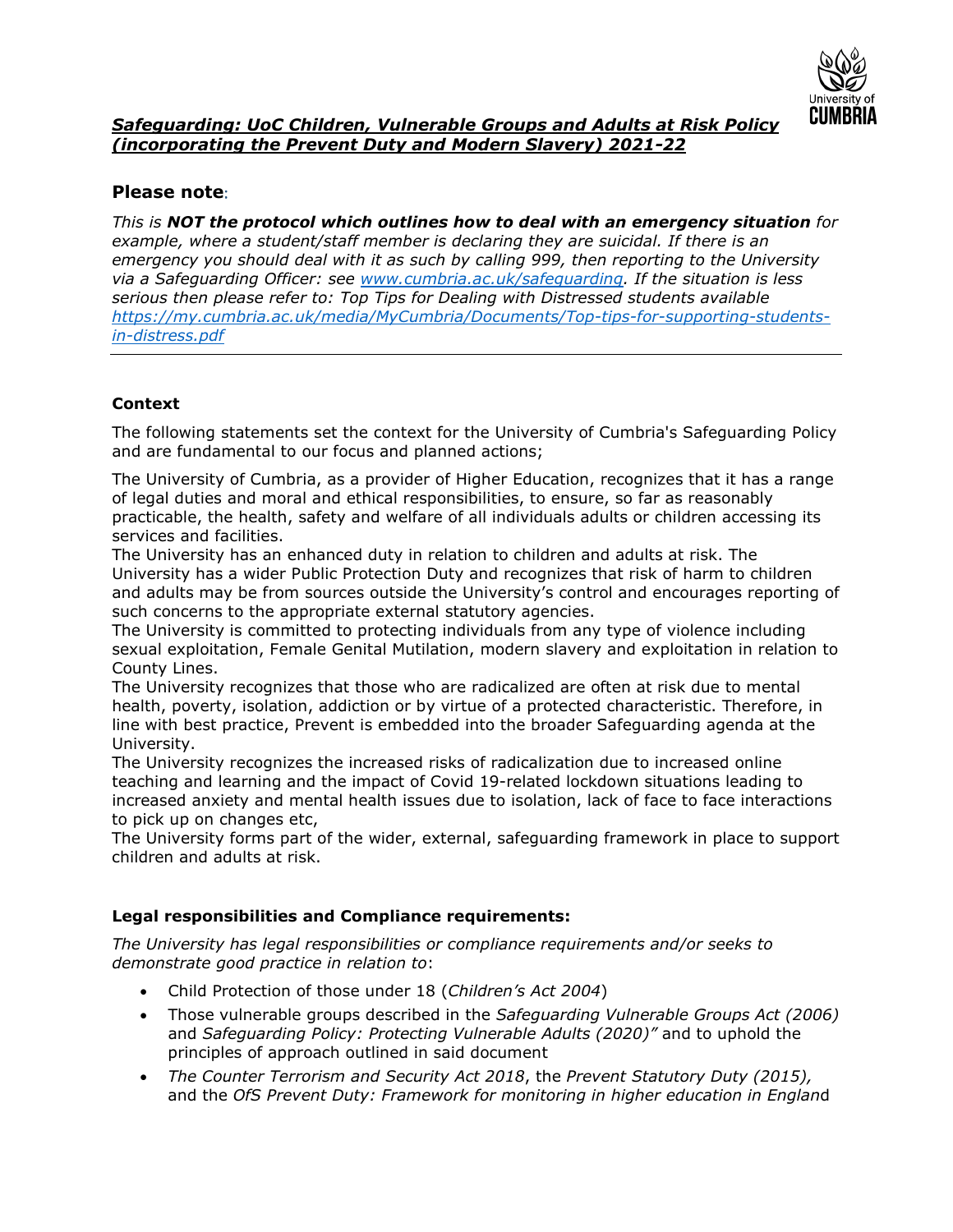

# *Safeguarding: UoC Children, Vulnerable Groups and Adults at Risk Policy (incorporating the Prevent Duty and Modern Slavery) 2021-22*

# **Please note**:

*This is NOT the protocol which outlines how to deal with an emergency situation for example, where a student/staff member is declaring they are suicidal. If there is an emergency you should deal with it as such by calling 999, then reporting to the University via a Safeguarding Officer: see [www.cumbria.ac.uk/safeguarding.](http://www.cumbria.ac.uk/safeguarding) If the situation is less serious then please refer to: Top Tips for Dealing with Distressed students available [https://my.cumbria.ac.uk/media/MyCumbria/Documents/Top-tips-for-supporting-students](https://my.cumbria.ac.uk/media/MyCumbria/Documents/Top-tips-for-supporting-students-in-distress.pdf)[in-distress.pdf](https://my.cumbria.ac.uk/media/MyCumbria/Documents/Top-tips-for-supporting-students-in-distress.pdf)*

## **Context**

The following statements set the context for the University of Cumbria's Safeguarding Policy and are fundamental to our focus and planned actions;

The University of Cumbria, as a provider of Higher Education, recognizes that it has a range of legal duties and moral and ethical responsibilities, to ensure, so far as reasonably practicable, the health, safety and welfare of all individuals adults or children accessing its services and facilities.

The University has an enhanced duty in relation to children and adults at risk. The University has a wider Public Protection Duty and recognizes that risk of harm to children and adults may be from sources outside the University's control and encourages reporting of such concerns to the appropriate external statutory agencies.

The University is committed to protecting individuals from any type of violence including sexual exploitation, Female Genital Mutilation, modern slavery and exploitation in relation to County Lines.

The University recognizes that those who are radicalized are often at risk due to mental health, poverty, isolation, addiction or by virtue of a protected characteristic. Therefore, in line with best practice, Prevent is embedded into the broader Safeguarding agenda at the University.

The University recognizes the increased risks of radicalization due to increased online teaching and learning and the impact of Covid 19-related lockdown situations leading to increased anxiety and mental health issues due to isolation, lack of face to face interactions to pick up on changes etc,

The University forms part of the wider, external, safeguarding framework in place to support children and adults at risk.

### **Legal responsibilities and Compliance requirements:**

*The University has legal responsibilities or compliance requirements and/or seeks to demonstrate good practice in relation to*:

- Child Protection of those under 18 (*Children's Act 2004*)
- Those vulnerable groups described in the *Safeguarding Vulnerable Groups Act (2006)* and *Safeguarding Policy: Protecting Vulnerable Adults (2020)"* and to uphold the principles of approach outlined in said document
- *The Counter Terrorism and Security Act 2018*, the *Prevent Statutory Duty (2015),* and the *OfS Prevent Duty: Framework for monitoring in higher education in Englan*d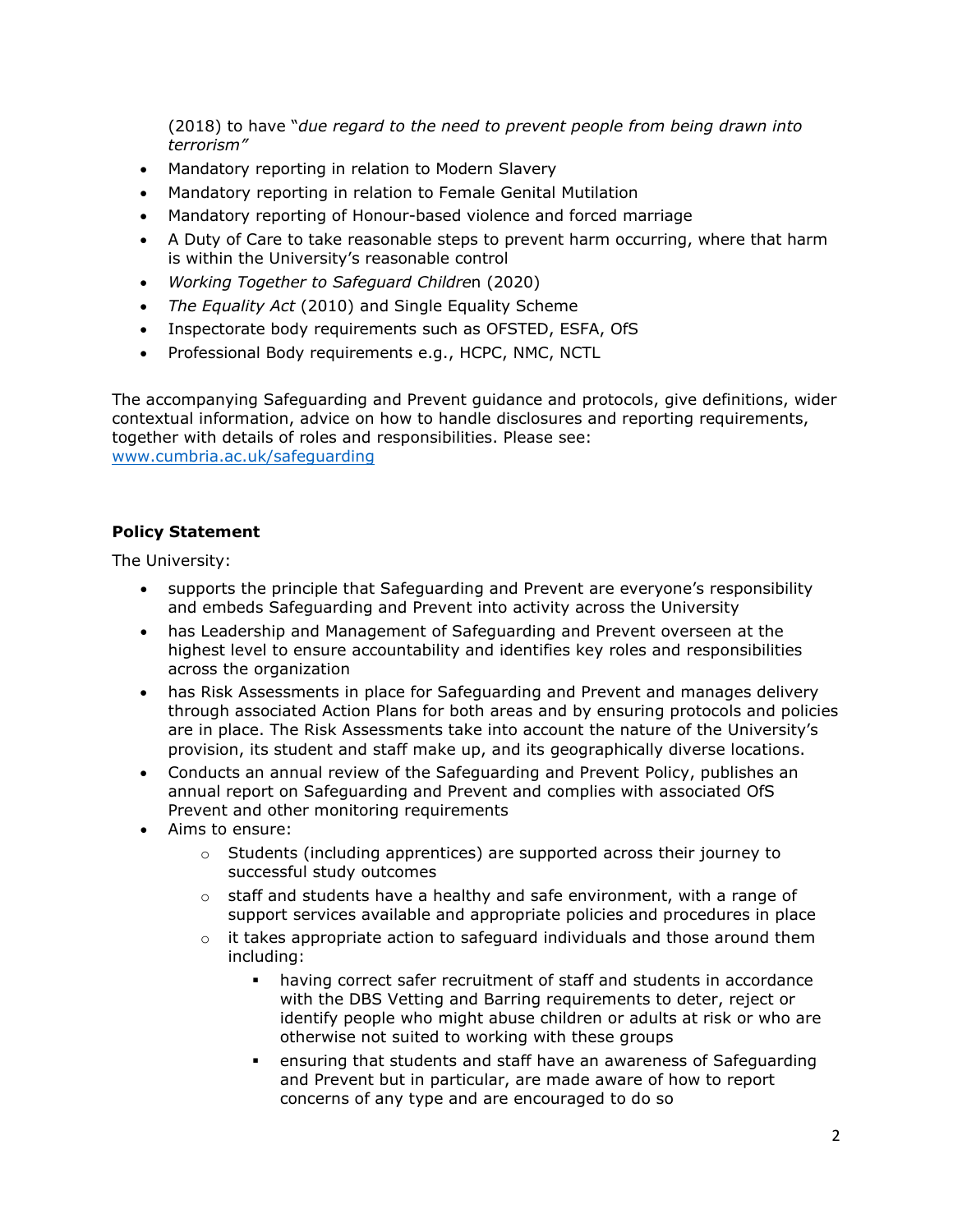(2018) to have "*due regard to the need to prevent people from being drawn into terrorism"*

- Mandatory reporting in relation to Modern Slavery
- Mandatory reporting in relation to Female Genital Mutilation
- Mandatory reporting of Honour-based violence and forced marriage
- A Duty of Care to take reasonable steps to prevent harm occurring, where that harm is within the University's reasonable control
- *Working Together to Safeguard Childre*n (2020)
- *The Equality Act* (2010) and Single Equality Scheme
- Inspectorate body requirements such as OFSTED, ESFA, OfS
- Professional Body requirements e.g., HCPC, NMC, NCTL

The accompanying Safeguarding and Prevent guidance and protocols, give definitions, wider contextual information, advice on how to handle disclosures and reporting requirements, together with details of roles and responsibilities. Please see: [www.cumbria.ac.uk/safeguarding](http://www.cumbria.ac.uk/safeguarding)

#### **Policy Statement**

The University:

- supports the principle that Safeguarding and Prevent are everyone's responsibility and embeds Safeguarding and Prevent into activity across the University
- has Leadership and Management of Safeguarding and Prevent overseen at the highest level to ensure accountability and identifies key roles and responsibilities across the organization
- has Risk Assessments in place for Safeguarding and Prevent and manages delivery through associated Action Plans for both areas and by ensuring protocols and policies are in place. The Risk Assessments take into account the nature of the University's provision, its student and staff make up, and its geographically diverse locations.
- Conducts an annual review of the Safeguarding and Prevent Policy, publishes an annual report on Safeguarding and Prevent and complies with associated OfS Prevent and other monitoring requirements
- Aims to ensure:
	- $\circ$  Students (including apprentices) are supported across their journey to successful study outcomes
	- $\circ$  staff and students have a healthy and safe environment, with a range of support services available and appropriate policies and procedures in place
	- $\circ$  it takes appropriate action to safeguard individuals and those around them including:
		- having correct safer recruitment of staff and students in accordance with the DBS Vetting and Barring requirements to deter, reject or identify people who might abuse children or adults at risk or who are otherwise not suited to working with these groups
		- ensuring that students and staff have an awareness of Safeguarding and Prevent but in particular, are made aware of how to report concerns of any type and are encouraged to do so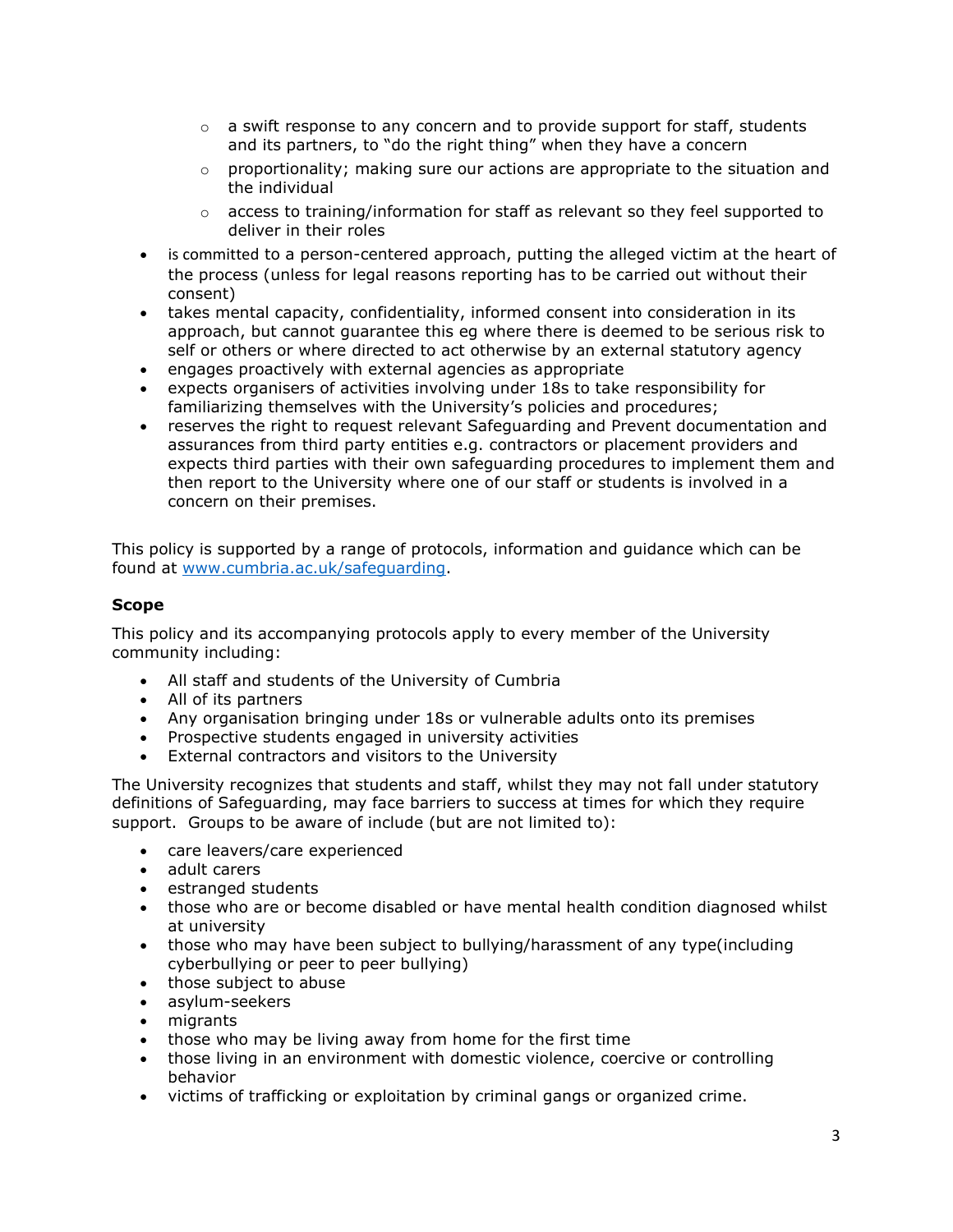- $\circ$  a swift response to any concern and to provide support for staff, students and its partners, to "do the right thing" when they have a concern
- $\circ$  proportionality; making sure our actions are appropriate to the situation and the individual
- $\circ$  access to training/information for staff as relevant so they feel supported to deliver in their roles
- is committed to a person-centered approach, putting the alleged victim at the heart of the process (unless for legal reasons reporting has to be carried out without their consent)
- takes mental capacity, confidentiality, informed consent into consideration in its approach, but cannot guarantee this eg where there is deemed to be serious risk to self or others or where directed to act otherwise by an external statutory agency
- engages proactively with external agencies as appropriate
- expects organisers of activities involving under 18s to take responsibility for familiarizing themselves with the University's policies and procedures;
- reserves the right to request relevant Safeguarding and Prevent documentation and assurances from third party entities e.g. contractors or placement providers and expects third parties with their own safeguarding procedures to implement them and then report to the University where one of our staff or students is involved in a concern on their premises.

This policy is supported by a range of protocols, information and guidance which can be found at [www.cumbria.ac.uk/safeguarding.](http://www.cumbria.ac.uk/safeguarding)

### **Scope**

This policy and its accompanying protocols apply to every member of the University community including:

- All staff and students of the University of Cumbria
- All of its partners
- Any organisation bringing under 18s or vulnerable adults onto its premises
- Prospective students engaged in university activities
- External contractors and visitors to the University

The University recognizes that students and staff, whilst they may not fall under statutory definitions of Safeguarding, may face barriers to success at times for which they require support. Groups to be aware of include (but are not limited to):

- care leavers/care experienced
- adult carers
- estranged students
- those who are or become disabled or have mental health condition diagnosed whilst at university
- those who may have been subject to bullying/harassment of any type(including cyberbullying or peer to peer bullying)
- those subject to abuse
- asylum-seekers
- migrants
- those who may be living away from home for the first time
- those living in an environment with domestic violence, coercive or controlling behavior
- victims of trafficking or exploitation by criminal gangs or organized crime.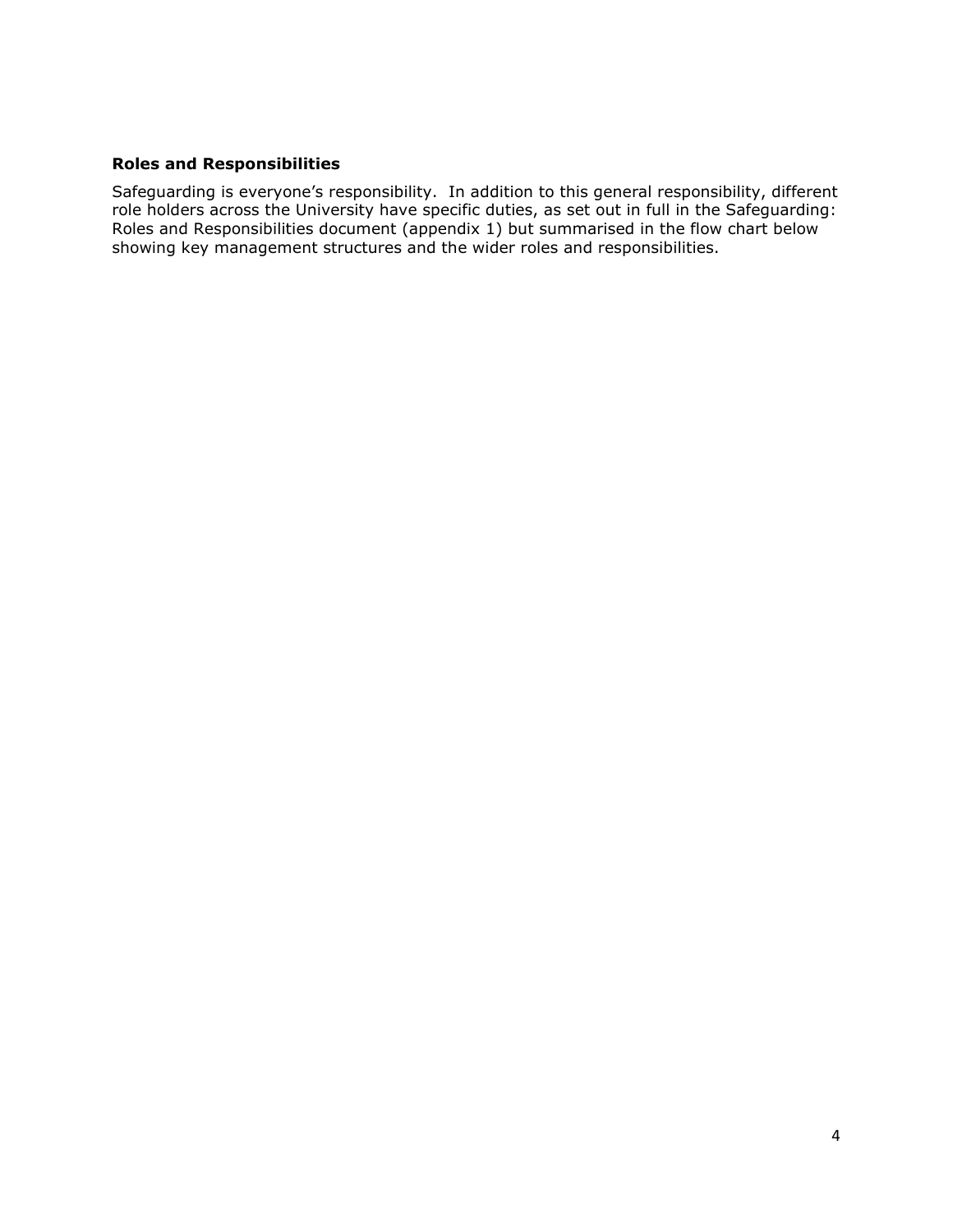### **Roles and Responsibilities**

Safeguarding is everyone's responsibility. In addition to this general responsibility, different role holders across the University have specific duties, as set out in full in the Safeguarding: Roles and Responsibilities document (appendix 1) but summarised in the flow chart below showing key management structures and the wider roles and responsibilities.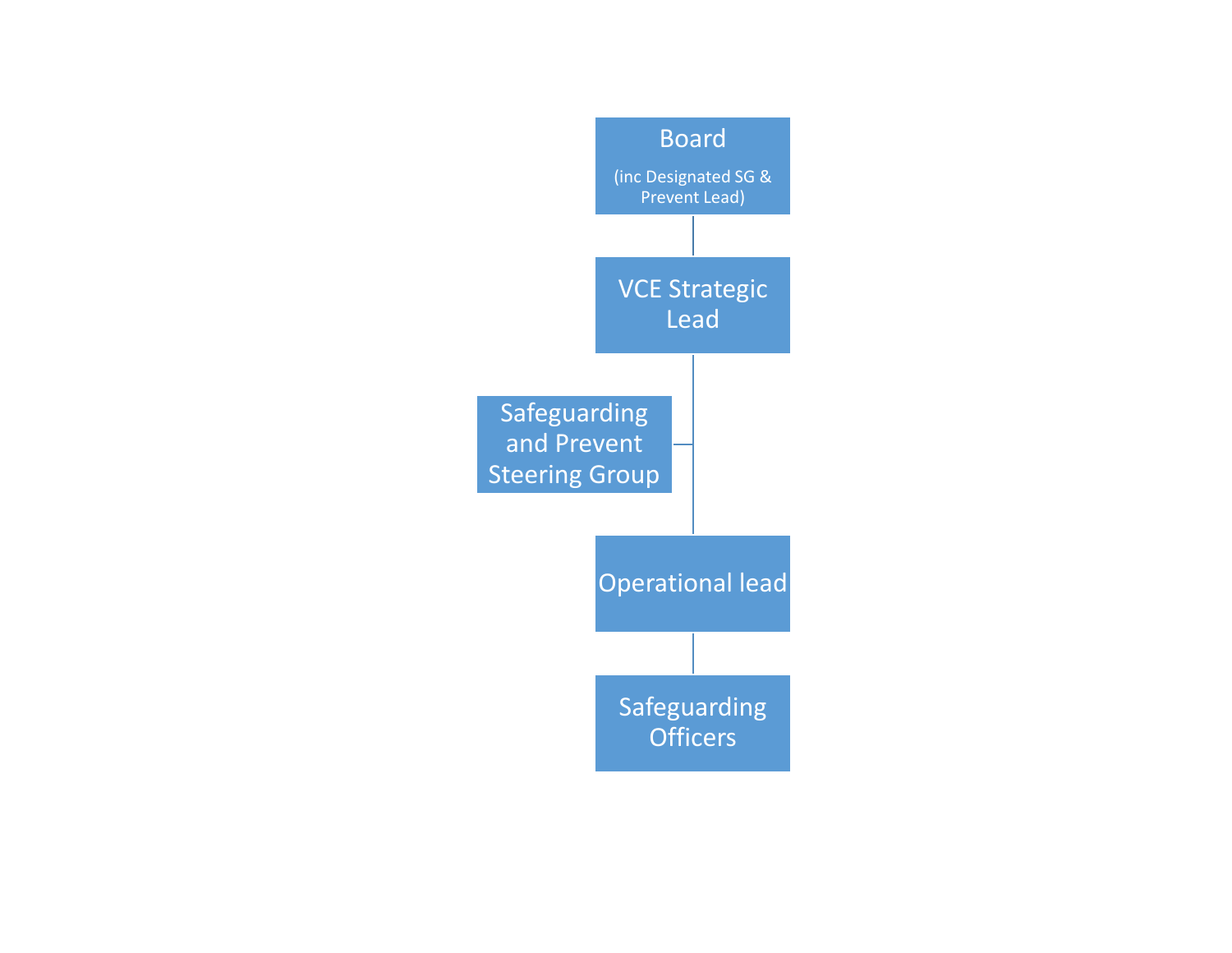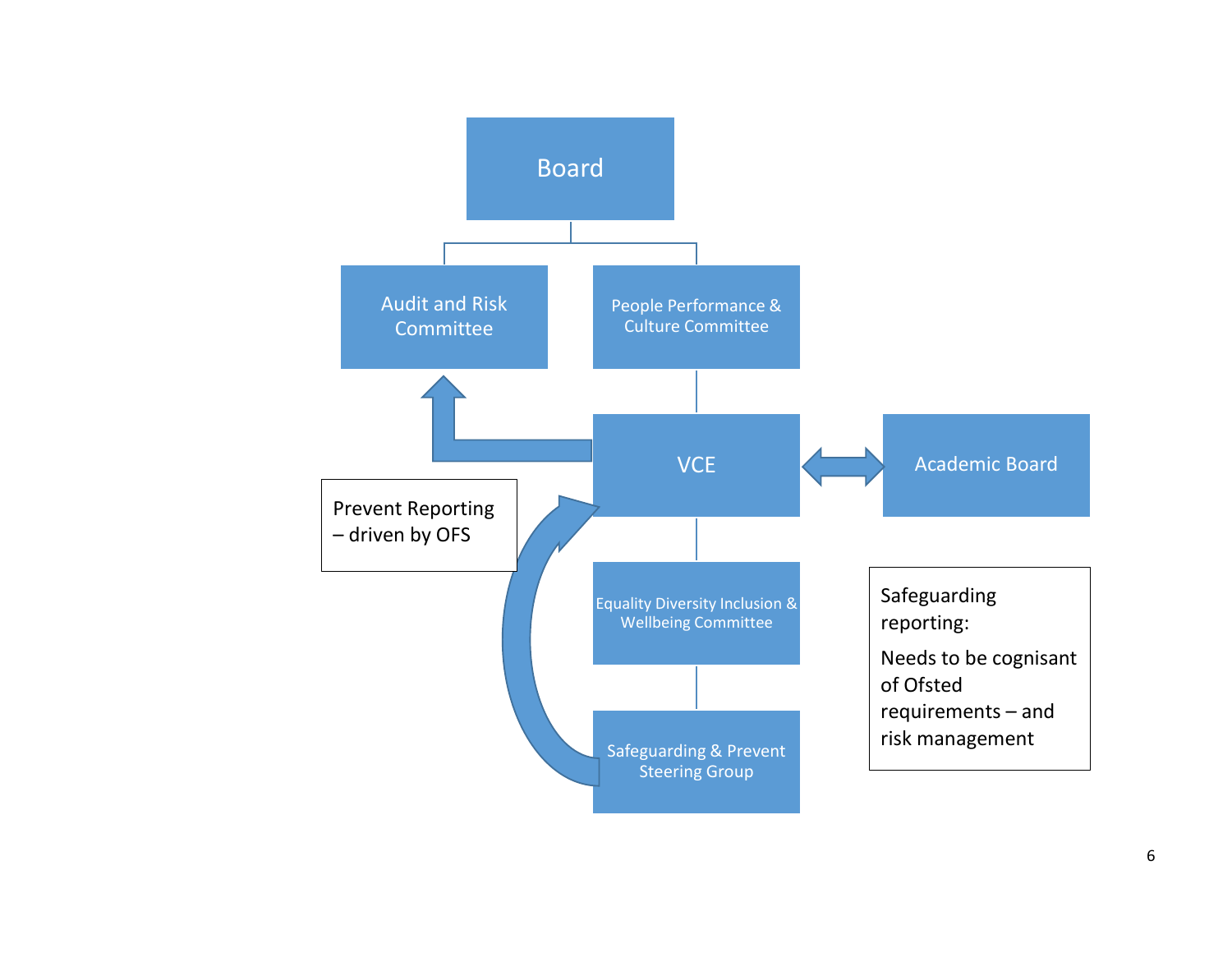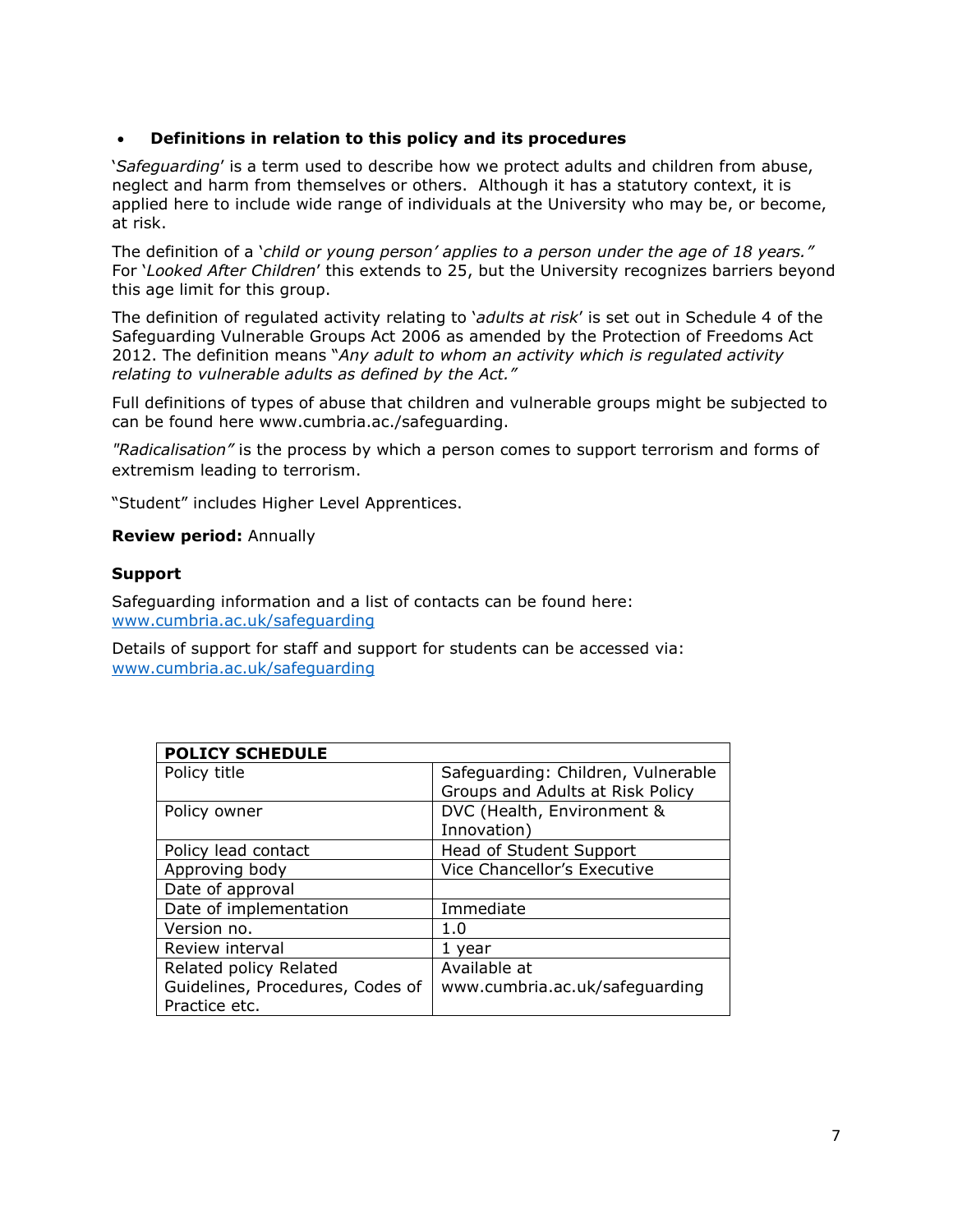### • **Definitions in relation to this policy and its procedures**

'*Safeguarding*' is a term used to describe how we protect adults and children from abuse, neglect and harm from themselves or others. Although it has a statutory context, it is applied here to include wide range of individuals at the University who may be, or become, at risk.

The definition of a '*child or young person' applies to a person under the age of 18 years."* For '*Looked After Children*' this extends to 25, but the University recognizes barriers beyond this age limit for this group.

The definition of regulated activity relating to '*adults at risk*' is set out in Schedule 4 of the Safeguarding Vulnerable Groups Act 2006 as amended by the Protection of Freedoms Act 2012. The definition means "*Any adult to whom an activity which is regulated activity relating to vulnerable adults as defined by the Act."*

Full definitions of types of abuse that children and vulnerable groups might be subjected to can be found here www.cumbria.ac./safeguarding.

*"Radicalisation"* is the process by which a person comes to support terrorism and forms of extremism leading to terrorism.

"Student" includes Higher Level Apprentices.

#### **Review period:** Annually

#### **Support**

Safeguarding information and a list of contacts can be found here: [www.cumbria.ac.uk/safeguarding](http://www.cumbria.ac.uk/safeguarding)

Details of support for staff and support for students can be accessed via: [www.cumbria.ac.uk/safeguarding](http://www.cumbria.ac.uk/safeguarding)

| <b>POLICY SCHEDULE</b>           |                                    |
|----------------------------------|------------------------------------|
| Policy title                     | Safeguarding: Children, Vulnerable |
|                                  | Groups and Adults at Risk Policy   |
| Policy owner                     | DVC (Health, Environment &         |
|                                  | Innovation)                        |
| Policy lead contact              | Head of Student Support            |
| Approving body                   | Vice Chancellor's Executive        |
| Date of approval                 |                                    |
| Date of implementation           | Immediate                          |
| Version no.                      | 1.0                                |
| Review interval                  | 1 year                             |
| Related policy Related           | Available at                       |
| Guidelines, Procedures, Codes of | www.cumbria.ac.uk/safeguarding     |
| Practice etc.                    |                                    |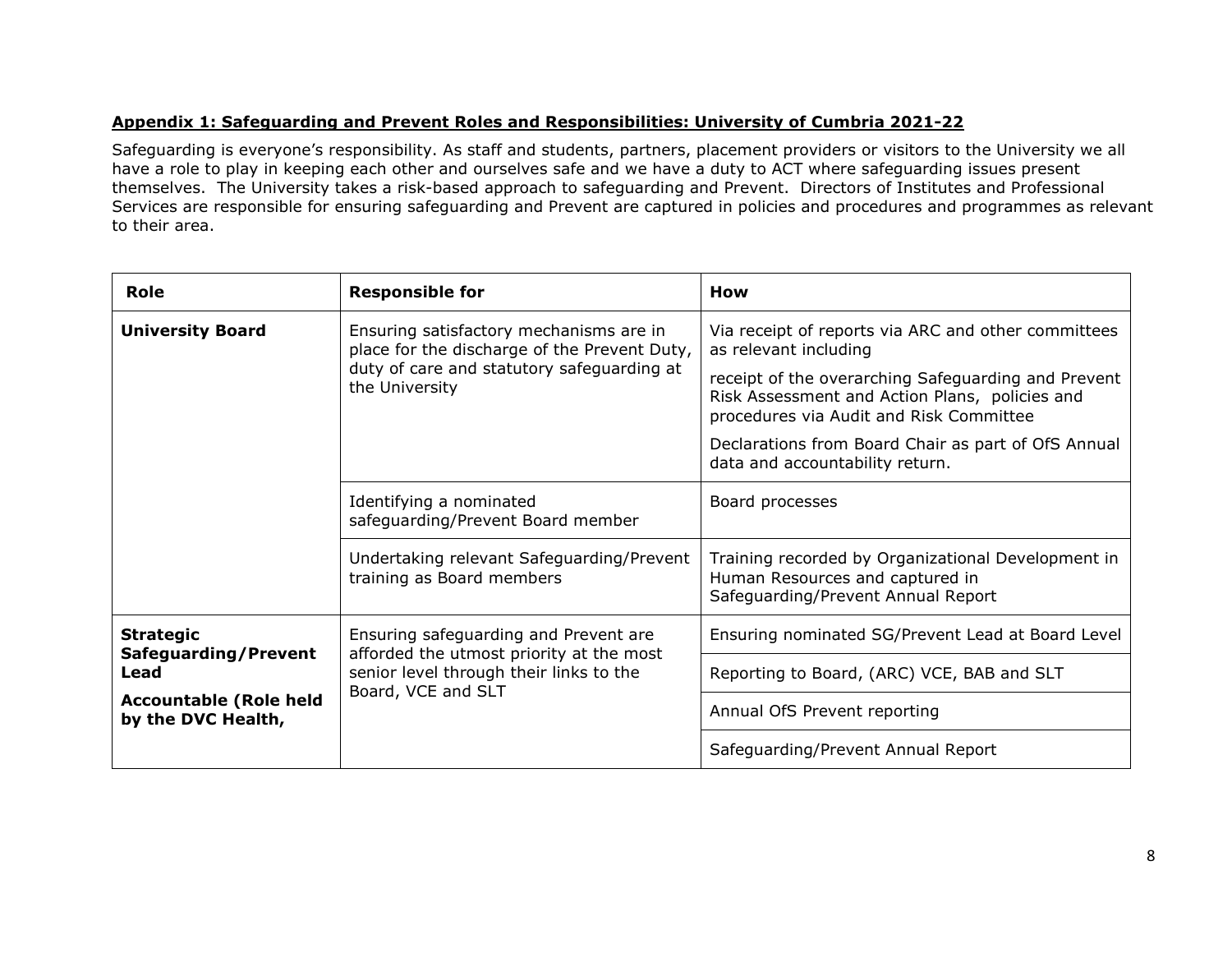## **Appendix 1: Safeguarding and Prevent Roles and Responsibilities: University of Cumbria 2021-22**

Safeguarding is everyone's responsibility. As staff and students, partners, placement providers or visitors to the University we all have a role to play in keeping each other and ourselves safe and we have a duty to ACT where safeguarding issues present themselves. The University takes a risk-based approach to safeguarding and Prevent. Directors of Institutes and Professional Services are responsible for ensuring safeguarding and Prevent are captured in policies and procedures and programmes as relevant to their area.

| <b>Role</b>                                         | <b>Responsible for</b>                                                                                    | How                                                                                                                                              |
|-----------------------------------------------------|-----------------------------------------------------------------------------------------------------------|--------------------------------------------------------------------------------------------------------------------------------------------------|
| <b>University Board</b>                             | Ensuring satisfactory mechanisms are in<br>place for the discharge of the Prevent Duty,                   | Via receipt of reports via ARC and other committees<br>as relevant including                                                                     |
|                                                     | duty of care and statutory safeguarding at<br>the University                                              | receipt of the overarching Safeguarding and Prevent<br>Risk Assessment and Action Plans, policies and<br>procedures via Audit and Risk Committee |
|                                                     |                                                                                                           | Declarations from Board Chair as part of OfS Annual<br>data and accountability return.                                                           |
|                                                     | Identifying a nominated<br>safeguarding/Prevent Board member                                              | Board processes                                                                                                                                  |
|                                                     | Undertaking relevant Safeguarding/Prevent<br>training as Board members                                    | Training recorded by Organizational Development in<br>Human Resources and captured in<br>Safeguarding/Prevent Annual Report                      |
| <b>Strategic</b>                                    | Ensuring safeguarding and Prevent are                                                                     | Ensuring nominated SG/Prevent Lead at Board Level                                                                                                |
| Safeguarding/Prevent<br>Lead                        | afforded the utmost priority at the most<br>senior level through their links to the<br>Board, VCE and SLT | Reporting to Board, (ARC) VCE, BAB and SLT                                                                                                       |
| <b>Accountable (Role held</b><br>by the DVC Health, |                                                                                                           | Annual OfS Prevent reporting                                                                                                                     |
|                                                     |                                                                                                           | Safeguarding/Prevent Annual Report                                                                                                               |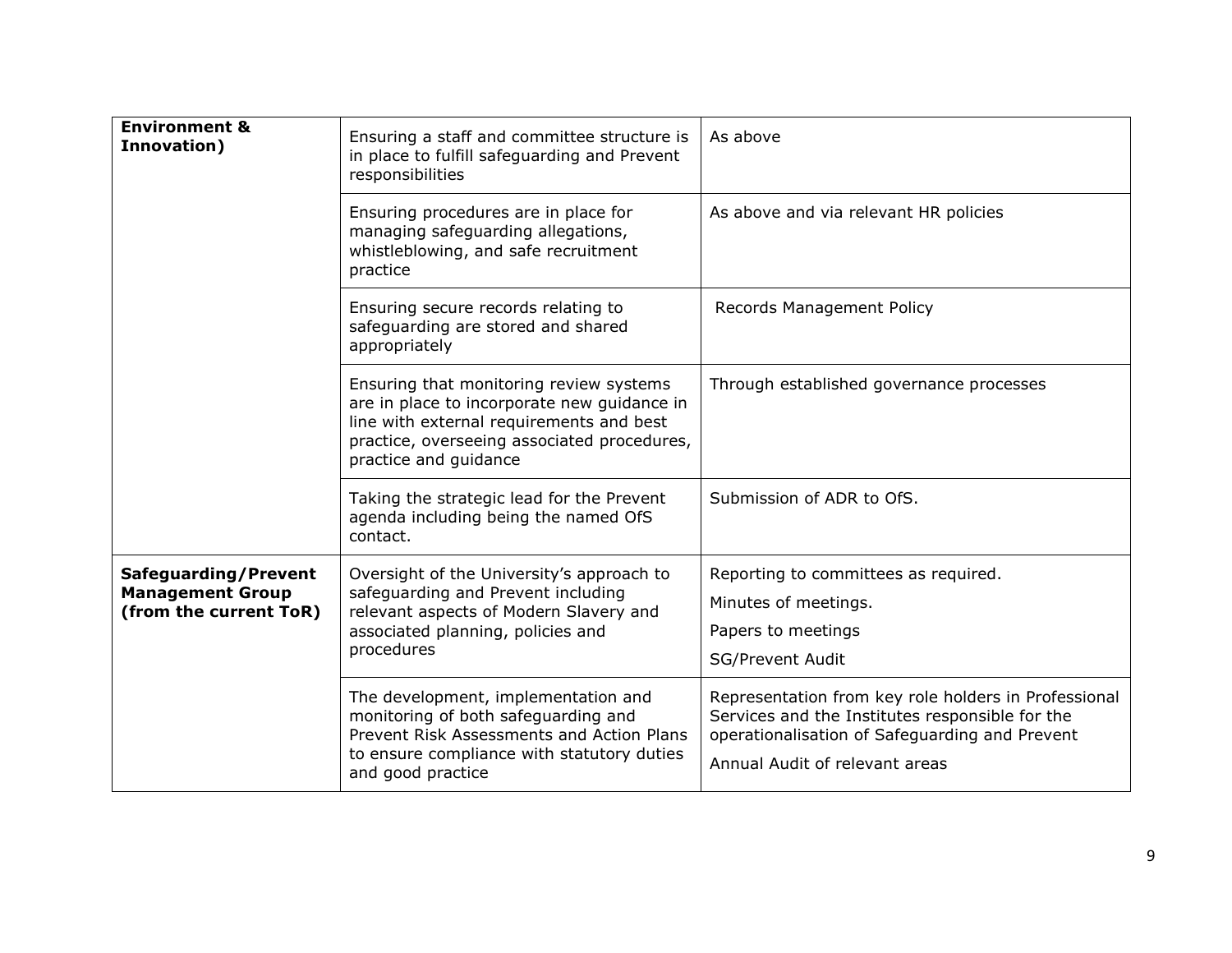| <b>Environment &amp;</b><br>Innovation)                                          | Ensuring a staff and committee structure is<br>in place to fulfill safeguarding and Prevent<br>responsibilities                                                                                            | As above                                                                                                                                                                                    |
|----------------------------------------------------------------------------------|------------------------------------------------------------------------------------------------------------------------------------------------------------------------------------------------------------|---------------------------------------------------------------------------------------------------------------------------------------------------------------------------------------------|
|                                                                                  | Ensuring procedures are in place for<br>managing safeguarding allegations,<br>whistleblowing, and safe recruitment<br>practice                                                                             | As above and via relevant HR policies                                                                                                                                                       |
|                                                                                  | Ensuring secure records relating to<br>safeguarding are stored and shared<br>appropriately                                                                                                                 | Records Management Policy                                                                                                                                                                   |
|                                                                                  | Ensuring that monitoring review systems<br>are in place to incorporate new guidance in<br>line with external requirements and best<br>practice, overseeing associated procedures,<br>practice and guidance | Through established governance processes                                                                                                                                                    |
|                                                                                  | Taking the strategic lead for the Prevent<br>agenda including being the named OfS<br>contact.                                                                                                              | Submission of ADR to OfS.                                                                                                                                                                   |
| <b>Safeguarding/Prevent</b><br><b>Management Group</b><br>(from the current ToR) | Oversight of the University's approach to<br>safeguarding and Prevent including<br>relevant aspects of Modern Slavery and<br>associated planning, policies and<br>procedures                               | Reporting to committees as required.<br>Minutes of meetings.<br>Papers to meetings<br><b>SG/Prevent Audit</b>                                                                               |
|                                                                                  | The development, implementation and<br>monitoring of both safeguarding and<br>Prevent Risk Assessments and Action Plans<br>to ensure compliance with statutory duties<br>and good practice                 | Representation from key role holders in Professional<br>Services and the Institutes responsible for the<br>operationalisation of Safeguarding and Prevent<br>Annual Audit of relevant areas |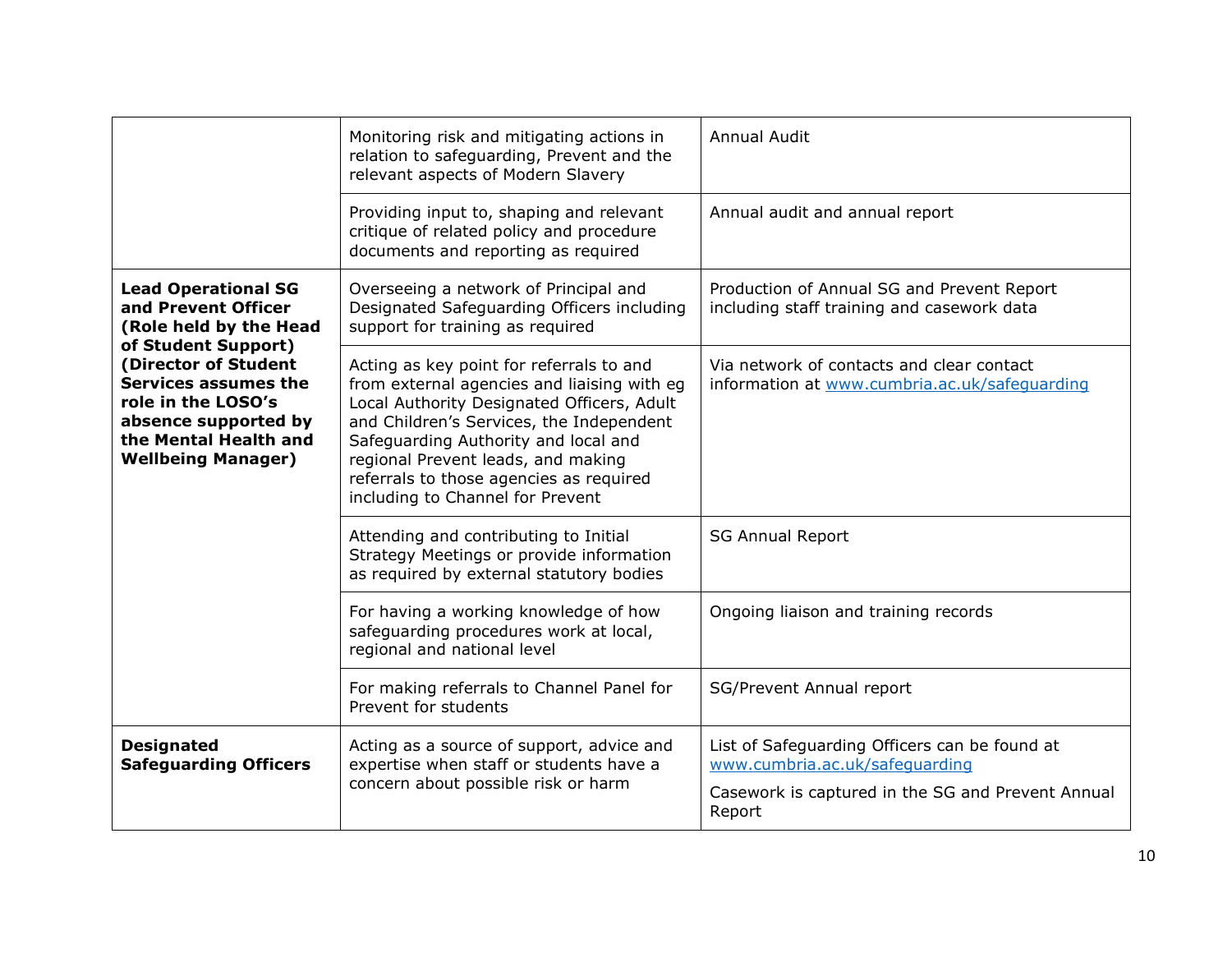|                                                                                                                                                  | Monitoring risk and mitigating actions in<br>relation to safeguarding, Prevent and the<br>relevant aspects of Modern Slavery                                                                                                                                                                                                                   | <b>Annual Audit</b>                                                                        |
|--------------------------------------------------------------------------------------------------------------------------------------------------|------------------------------------------------------------------------------------------------------------------------------------------------------------------------------------------------------------------------------------------------------------------------------------------------------------------------------------------------|--------------------------------------------------------------------------------------------|
|                                                                                                                                                  | Providing input to, shaping and relevant<br>critique of related policy and procedure<br>documents and reporting as required                                                                                                                                                                                                                    | Annual audit and annual report                                                             |
| <b>Lead Operational SG</b><br>and Prevent Officer<br>(Role held by the Head<br>of Student Support)                                               | Overseeing a network of Principal and<br>Designated Safeguarding Officers including<br>support for training as required                                                                                                                                                                                                                        | Production of Annual SG and Prevent Report<br>including staff training and casework data   |
| (Director of Student<br>Services assumes the<br>role in the LOSO's<br>absence supported by<br>the Mental Health and<br><b>Wellbeing Manager)</b> | Acting as key point for referrals to and<br>from external agencies and liaising with eg<br>Local Authority Designated Officers, Adult<br>and Children's Services, the Independent<br>Safeguarding Authority and local and<br>regional Prevent leads, and making<br>referrals to those agencies as required<br>including to Channel for Prevent | Via network of contacts and clear contact<br>information at www.cumbria.ac.uk/safequarding |
|                                                                                                                                                  | Attending and contributing to Initial<br>Strategy Meetings or provide information<br>as required by external statutory bodies                                                                                                                                                                                                                  | <b>SG Annual Report</b>                                                                    |
|                                                                                                                                                  | For having a working knowledge of how<br>safeguarding procedures work at local,<br>regional and national level                                                                                                                                                                                                                                 | Ongoing liaison and training records                                                       |
|                                                                                                                                                  | For making referrals to Channel Panel for<br>Prevent for students                                                                                                                                                                                                                                                                              | SG/Prevent Annual report                                                                   |
| <b>Designated</b><br><b>Safeguarding Officers</b>                                                                                                | Acting as a source of support, advice and<br>expertise when staff or students have a                                                                                                                                                                                                                                                           | List of Safeguarding Officers can be found at<br>www.cumbria.ac.uk/safeguarding            |
|                                                                                                                                                  | concern about possible risk or harm                                                                                                                                                                                                                                                                                                            | Casework is captured in the SG and Prevent Annual<br>Report                                |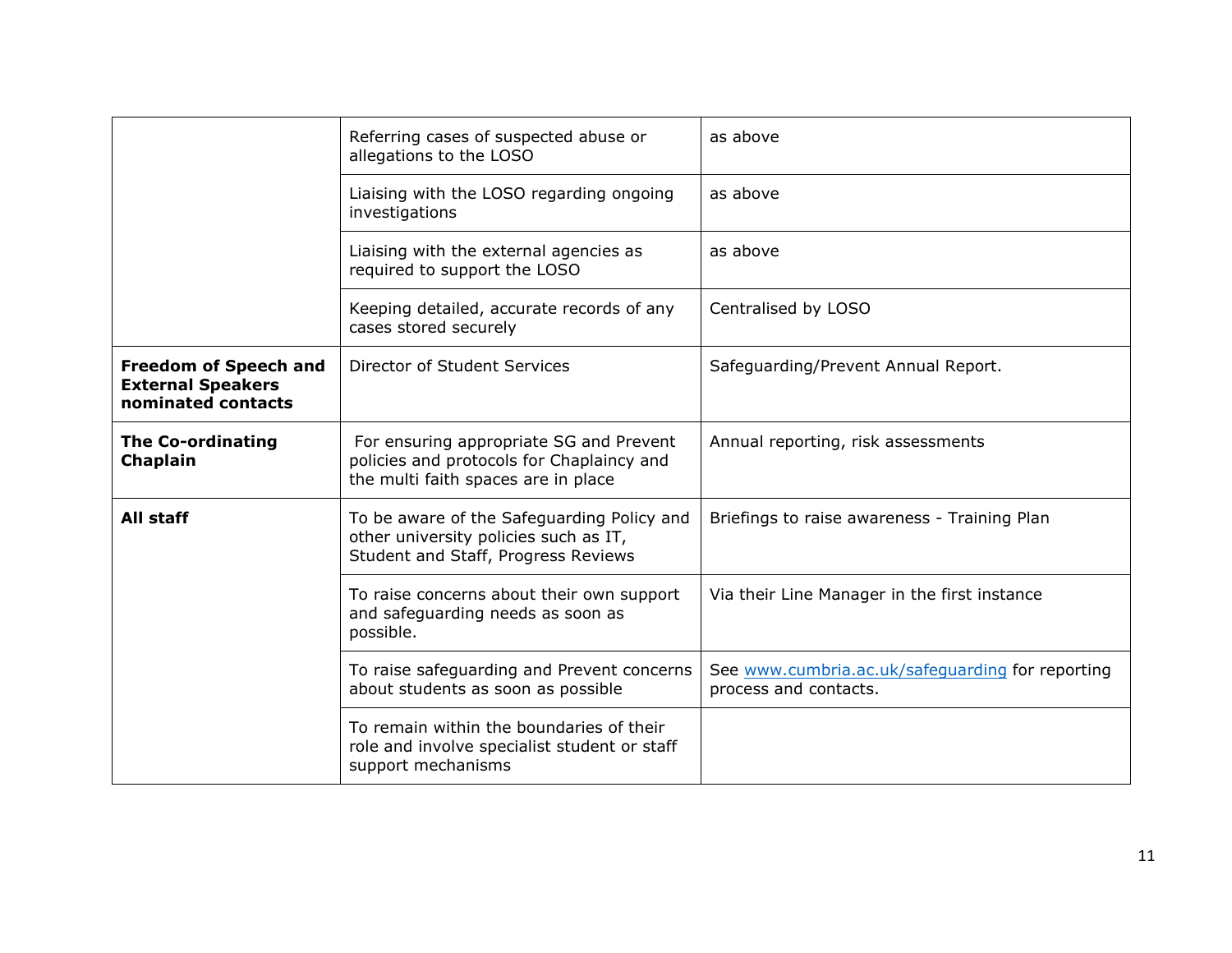|                                                                                | Referring cases of suspected abuse or<br>allegations to the LOSO                                                            | as above                                                                  |
|--------------------------------------------------------------------------------|-----------------------------------------------------------------------------------------------------------------------------|---------------------------------------------------------------------------|
|                                                                                | Liaising with the LOSO regarding ongoing<br>investigations                                                                  | as above                                                                  |
|                                                                                | Liaising with the external agencies as<br>required to support the LOSO                                                      | as above                                                                  |
|                                                                                | Keeping detailed, accurate records of any<br>cases stored securely                                                          | Centralised by LOSO                                                       |
| <b>Freedom of Speech and</b><br><b>External Speakers</b><br>nominated contacts | Director of Student Services                                                                                                | Safeguarding/Prevent Annual Report.                                       |
| <b>The Co-ordinating</b><br>Chaplain                                           | For ensuring appropriate SG and Prevent<br>policies and protocols for Chaplaincy and<br>the multi faith spaces are in place | Annual reporting, risk assessments                                        |
| All staff                                                                      | To be aware of the Safeguarding Policy and<br>other university policies such as IT,<br>Student and Staff, Progress Reviews  | Briefings to raise awareness - Training Plan                              |
|                                                                                | To raise concerns about their own support<br>and safeguarding needs as soon as<br>possible.                                 | Via their Line Manager in the first instance                              |
|                                                                                | To raise safeguarding and Prevent concerns<br>about students as soon as possible                                            | See www.cumbria.ac.uk/safeguarding for reporting<br>process and contacts. |
|                                                                                | To remain within the boundaries of their<br>role and involve specialist student or staff<br>support mechanisms              |                                                                           |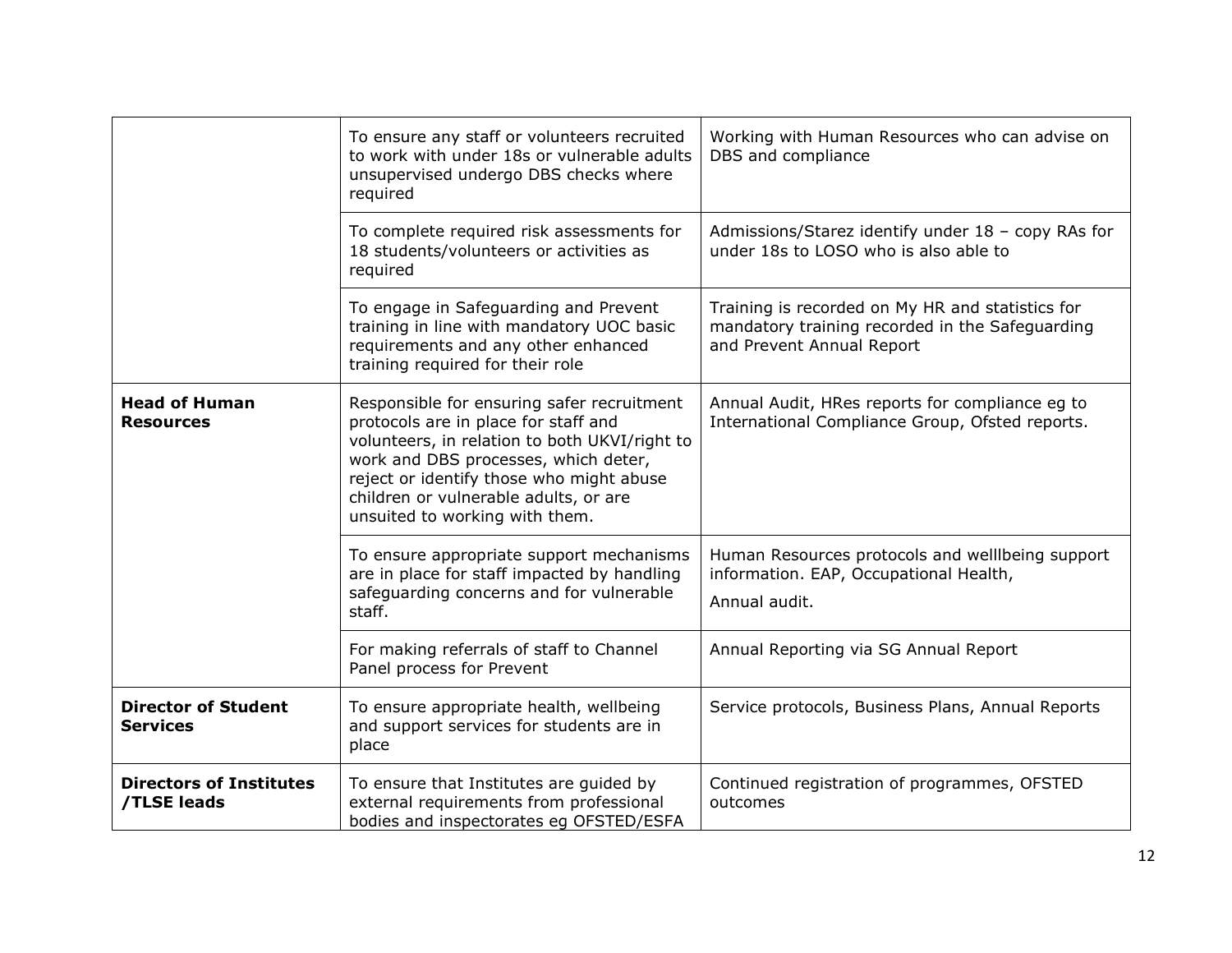|                                               | To ensure any staff or volunteers recruited<br>to work with under 18s or vulnerable adults<br>unsupervised undergo DBS checks where<br>required                                                                                                                                                    | Working with Human Resources who can advise on<br>DBS and compliance                                                             |
|-----------------------------------------------|----------------------------------------------------------------------------------------------------------------------------------------------------------------------------------------------------------------------------------------------------------------------------------------------------|----------------------------------------------------------------------------------------------------------------------------------|
|                                               | To complete required risk assessments for<br>18 students/volunteers or activities as<br>required                                                                                                                                                                                                   | Admissions/Starez identify under 18 - copy RAs for<br>under 18s to LOSO who is also able to                                      |
|                                               | To engage in Safeguarding and Prevent<br>training in line with mandatory UOC basic<br>requirements and any other enhanced<br>training required for their role                                                                                                                                      | Training is recorded on My HR and statistics for<br>mandatory training recorded in the Safeguarding<br>and Prevent Annual Report |
| <b>Head of Human</b><br><b>Resources</b>      | Responsible for ensuring safer recruitment<br>protocols are in place for staff and<br>volunteers, in relation to both UKVI/right to<br>work and DBS processes, which deter,<br>reject or identify those who might abuse<br>children or vulnerable adults, or are<br>unsuited to working with them. | Annual Audit, HRes reports for compliance eg to<br>International Compliance Group, Ofsted reports.                               |
|                                               | To ensure appropriate support mechanisms<br>are in place for staff impacted by handling<br>safeguarding concerns and for vulnerable<br>staff.                                                                                                                                                      | Human Resources protocols and welllbeing support<br>information. EAP, Occupational Health,<br>Annual audit.                      |
|                                               | For making referrals of staff to Channel<br>Panel process for Prevent                                                                                                                                                                                                                              | Annual Reporting via SG Annual Report                                                                                            |
| <b>Director of Student</b><br><b>Services</b> | To ensure appropriate health, wellbeing<br>and support services for students are in<br>place                                                                                                                                                                                                       | Service protocols, Business Plans, Annual Reports                                                                                |
| <b>Directors of Institutes</b><br>/TLSE leads | To ensure that Institutes are guided by<br>external requirements from professional<br>bodies and inspectorates eg OFSTED/ESFA                                                                                                                                                                      | Continued registration of programmes, OFSTED<br>outcomes                                                                         |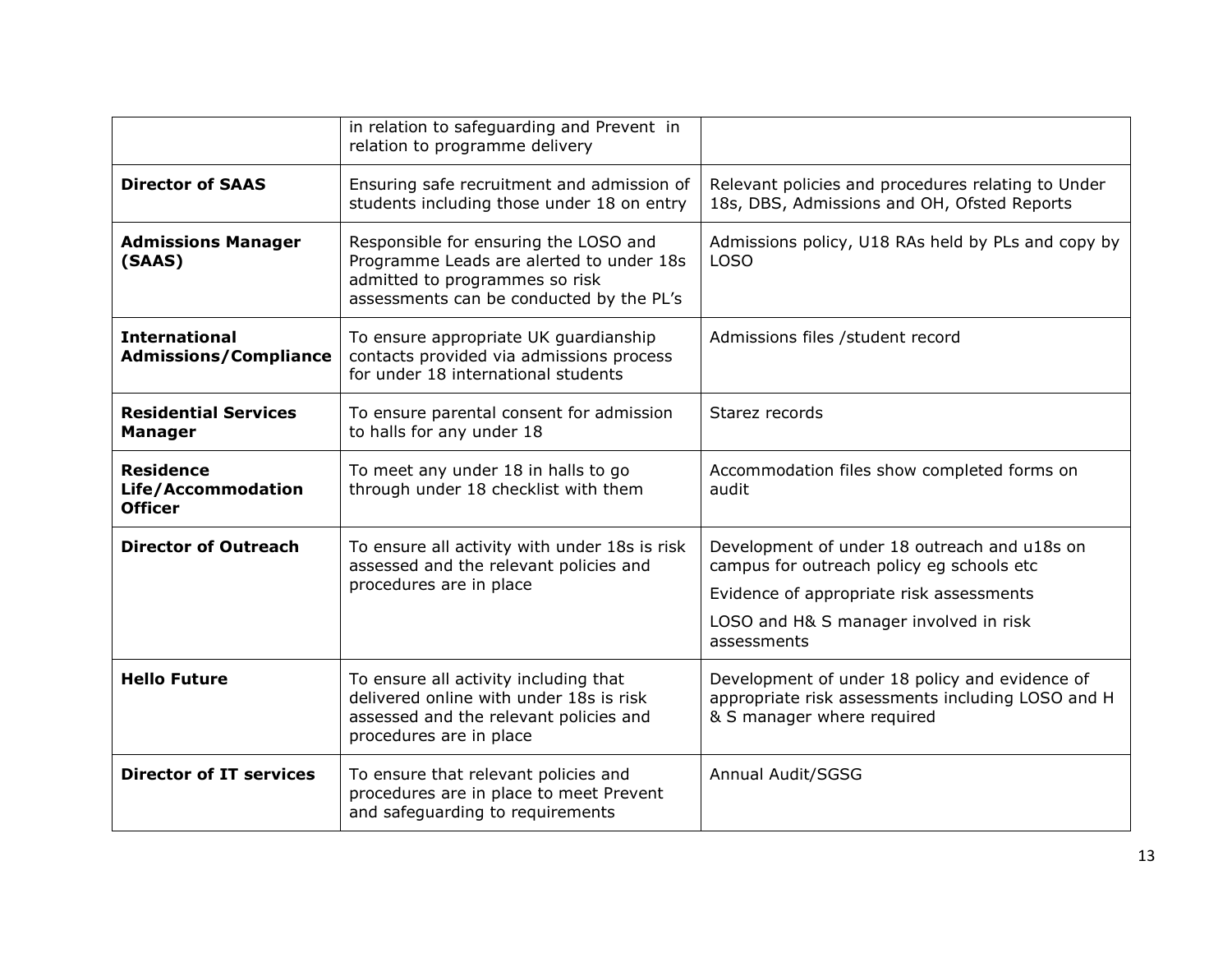|                                                          | in relation to safeguarding and Prevent in<br>relation to programme delivery                                                                                    |                                                                                                                                   |
|----------------------------------------------------------|-----------------------------------------------------------------------------------------------------------------------------------------------------------------|-----------------------------------------------------------------------------------------------------------------------------------|
| <b>Director of SAAS</b>                                  | Ensuring safe recruitment and admission of<br>students including those under 18 on entry                                                                        | Relevant policies and procedures relating to Under<br>18s, DBS, Admissions and OH, Ofsted Reports                                 |
| <b>Admissions Manager</b><br>(SAAS)                      | Responsible for ensuring the LOSO and<br>Programme Leads are alerted to under 18s<br>admitted to programmes so risk<br>assessments can be conducted by the PL's | Admissions policy, U18 RAs held by PLs and copy by<br><b>LOSO</b>                                                                 |
| <b>International</b><br><b>Admissions/Compliance</b>     | To ensure appropriate UK guardianship<br>contacts provided via admissions process<br>for under 18 international students                                        | Admissions files /student record                                                                                                  |
| <b>Residential Services</b><br><b>Manager</b>            | To ensure parental consent for admission<br>to halls for any under 18                                                                                           | Starez records                                                                                                                    |
| <b>Residence</b><br>Life/Accommodation<br><b>Officer</b> | To meet any under 18 in halls to go<br>through under 18 checklist with them                                                                                     | Accommodation files show completed forms on<br>audit                                                                              |
| <b>Director of Outreach</b>                              | To ensure all activity with under 18s is risk<br>assessed and the relevant policies and                                                                         | Development of under 18 outreach and u18s on<br>campus for outreach policy eg schools etc                                         |
|                                                          | procedures are in place                                                                                                                                         | Evidence of appropriate risk assessments                                                                                          |
|                                                          |                                                                                                                                                                 | LOSO and H& S manager involved in risk<br>assessments                                                                             |
| <b>Hello Future</b>                                      | To ensure all activity including that<br>delivered online with under 18s is risk<br>assessed and the relevant policies and<br>procedures are in place           | Development of under 18 policy and evidence of<br>appropriate risk assessments including LOSO and H<br>& S manager where required |
| <b>Director of IT services</b>                           | To ensure that relevant policies and<br>procedures are in place to meet Prevent<br>and safeguarding to requirements                                             | Annual Audit/SGSG                                                                                                                 |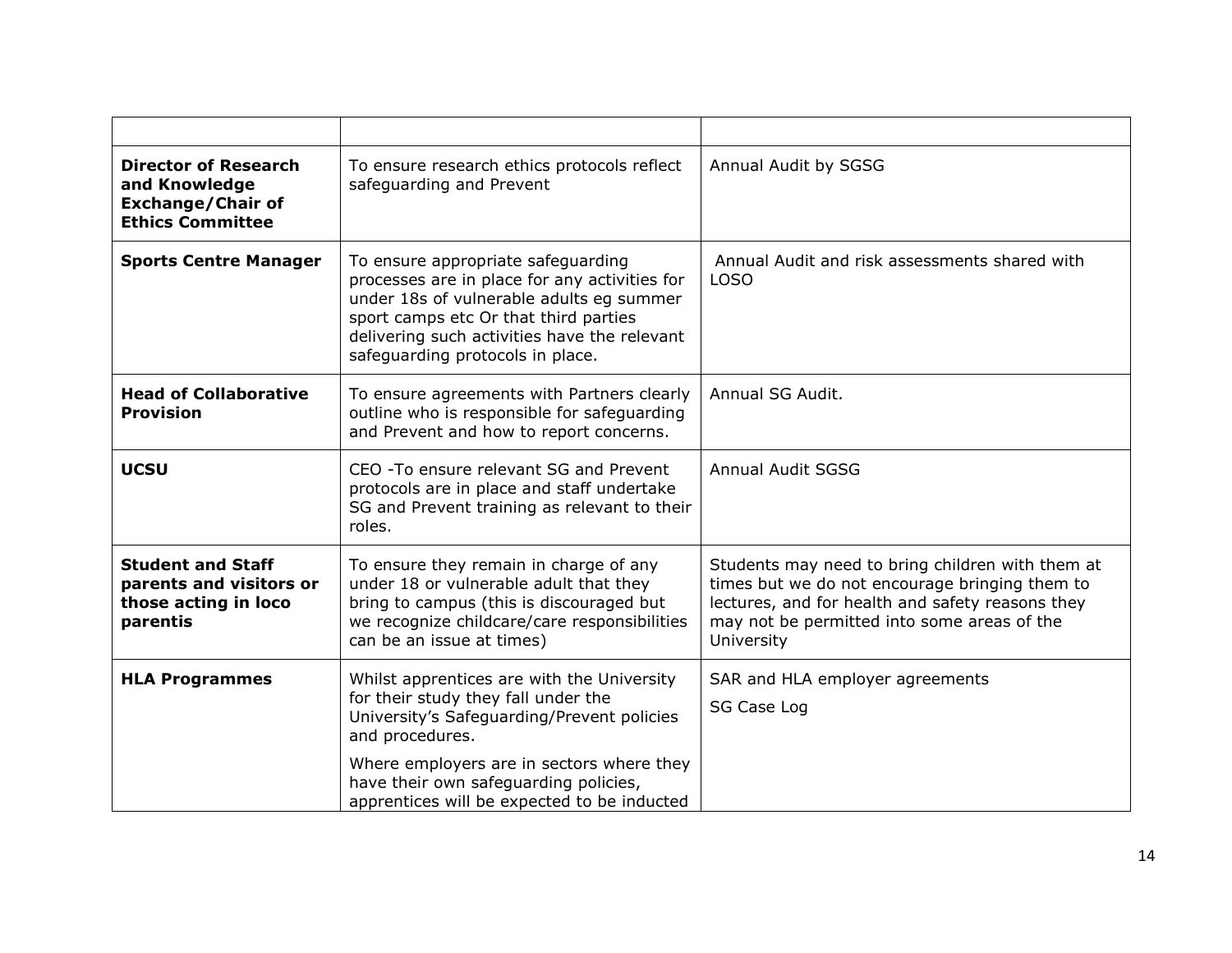| <b>Director of Research</b><br>and Knowledge<br><b>Exchange/Chair of</b><br><b>Ethics Committee</b> | To ensure research ethics protocols reflect<br>safeguarding and Prevent                                                                                                                                                                                      | Annual Audit by SGSG                                                                                                                                                                                                |
|-----------------------------------------------------------------------------------------------------|--------------------------------------------------------------------------------------------------------------------------------------------------------------------------------------------------------------------------------------------------------------|---------------------------------------------------------------------------------------------------------------------------------------------------------------------------------------------------------------------|
| <b>Sports Centre Manager</b>                                                                        | To ensure appropriate safeguarding<br>processes are in place for any activities for<br>under 18s of vulnerable adults eg summer<br>sport camps etc Or that third parties<br>delivering such activities have the relevant<br>safeguarding protocols in place. | Annual Audit and risk assessments shared with<br><b>LOSO</b>                                                                                                                                                        |
| <b>Head of Collaborative</b><br><b>Provision</b>                                                    | To ensure agreements with Partners clearly<br>outline who is responsible for safeguarding<br>and Prevent and how to report concerns.                                                                                                                         | Annual SG Audit.                                                                                                                                                                                                    |
| <b>UCSU</b>                                                                                         | CEO - To ensure relevant SG and Prevent<br>protocols are in place and staff undertake<br>SG and Prevent training as relevant to their<br>roles.                                                                                                              | <b>Annual Audit SGSG</b>                                                                                                                                                                                            |
| <b>Student and Staff</b><br>parents and visitors or<br>those acting in loco<br>parentis             | To ensure they remain in charge of any<br>under 18 or vulnerable adult that they<br>bring to campus (this is discouraged but<br>we recognize childcare/care responsibilities<br>can be an issue at times)                                                    | Students may need to bring children with them at<br>times but we do not encourage bringing them to<br>lectures, and for health and safety reasons they<br>may not be permitted into some areas of the<br>University |
| <b>HLA Programmes</b>                                                                               | Whilst apprentices are with the University<br>for their study they fall under the<br>University's Safeguarding/Prevent policies<br>and procedures.                                                                                                           | SAR and HLA employer agreements<br>SG Case Log                                                                                                                                                                      |
|                                                                                                     | Where employers are in sectors where they<br>have their own safeguarding policies,<br>apprentices will be expected to be inducted                                                                                                                            |                                                                                                                                                                                                                     |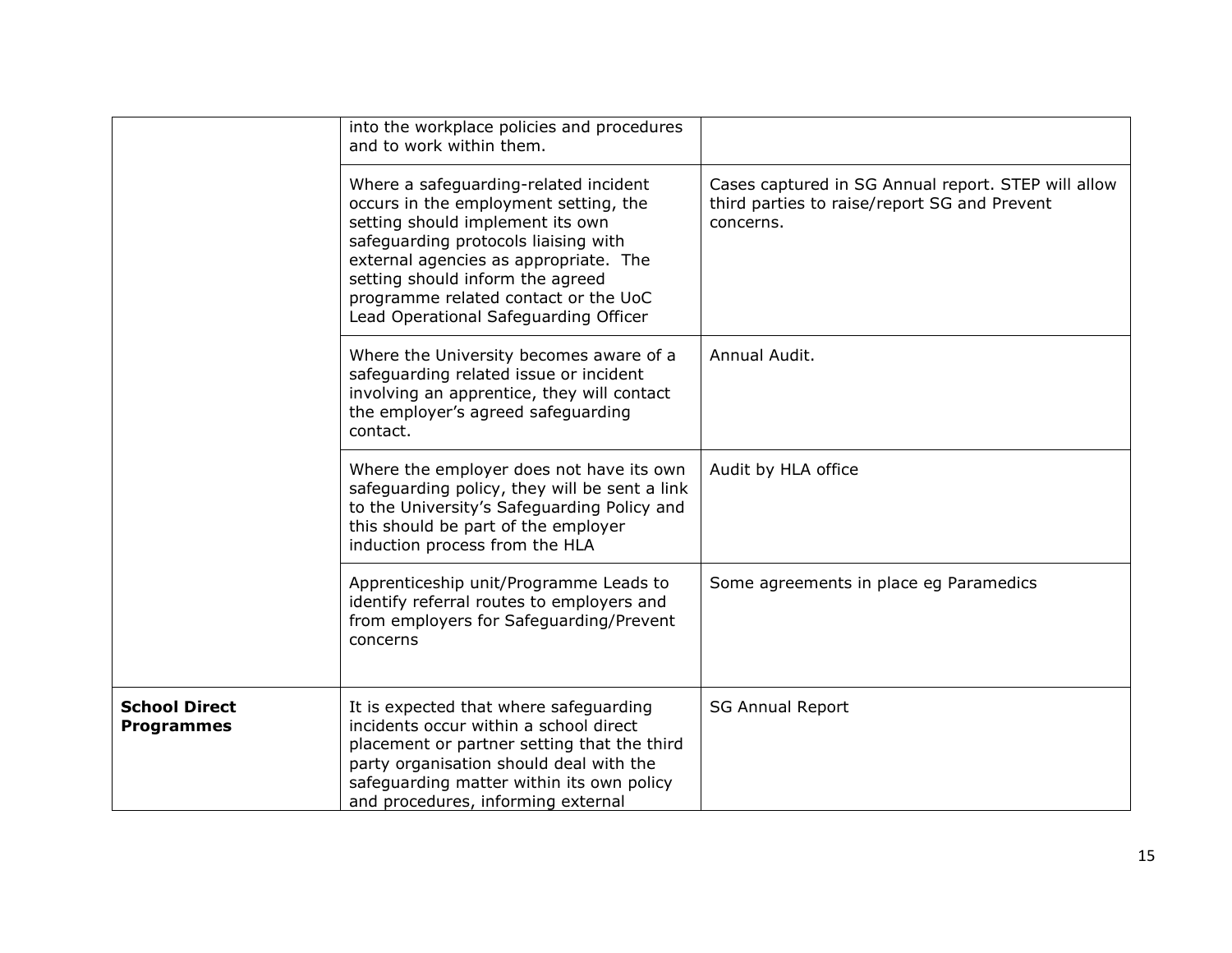|                                           | into the workplace policies and procedures<br>and to work within them.                                                                                                                                                                                                                                                   |                                                                                                                  |
|-------------------------------------------|--------------------------------------------------------------------------------------------------------------------------------------------------------------------------------------------------------------------------------------------------------------------------------------------------------------------------|------------------------------------------------------------------------------------------------------------------|
|                                           | Where a safeguarding-related incident<br>occurs in the employment setting, the<br>setting should implement its own<br>safeguarding protocols liaising with<br>external agencies as appropriate. The<br>setting should inform the agreed<br>programme related contact or the UoC<br>Lead Operational Safeguarding Officer | Cases captured in SG Annual report. STEP will allow<br>third parties to raise/report SG and Prevent<br>concerns. |
|                                           | Where the University becomes aware of a<br>safeguarding related issue or incident<br>involving an apprentice, they will contact<br>the employer's agreed safeguarding<br>contact.                                                                                                                                        | Annual Audit.                                                                                                    |
|                                           | Where the employer does not have its own<br>safeguarding policy, they will be sent a link<br>to the University's Safeguarding Policy and<br>this should be part of the employer<br>induction process from the HLA                                                                                                        | Audit by HLA office                                                                                              |
|                                           | Apprenticeship unit/Programme Leads to<br>identify referral routes to employers and<br>from employers for Safeguarding/Prevent<br>concerns                                                                                                                                                                               | Some agreements in place eg Paramedics                                                                           |
| <b>School Direct</b><br><b>Programmes</b> | It is expected that where safeguarding<br>incidents occur within a school direct<br>placement or partner setting that the third<br>party organisation should deal with the<br>safeguarding matter within its own policy<br>and procedures, informing external                                                            | <b>SG Annual Report</b>                                                                                          |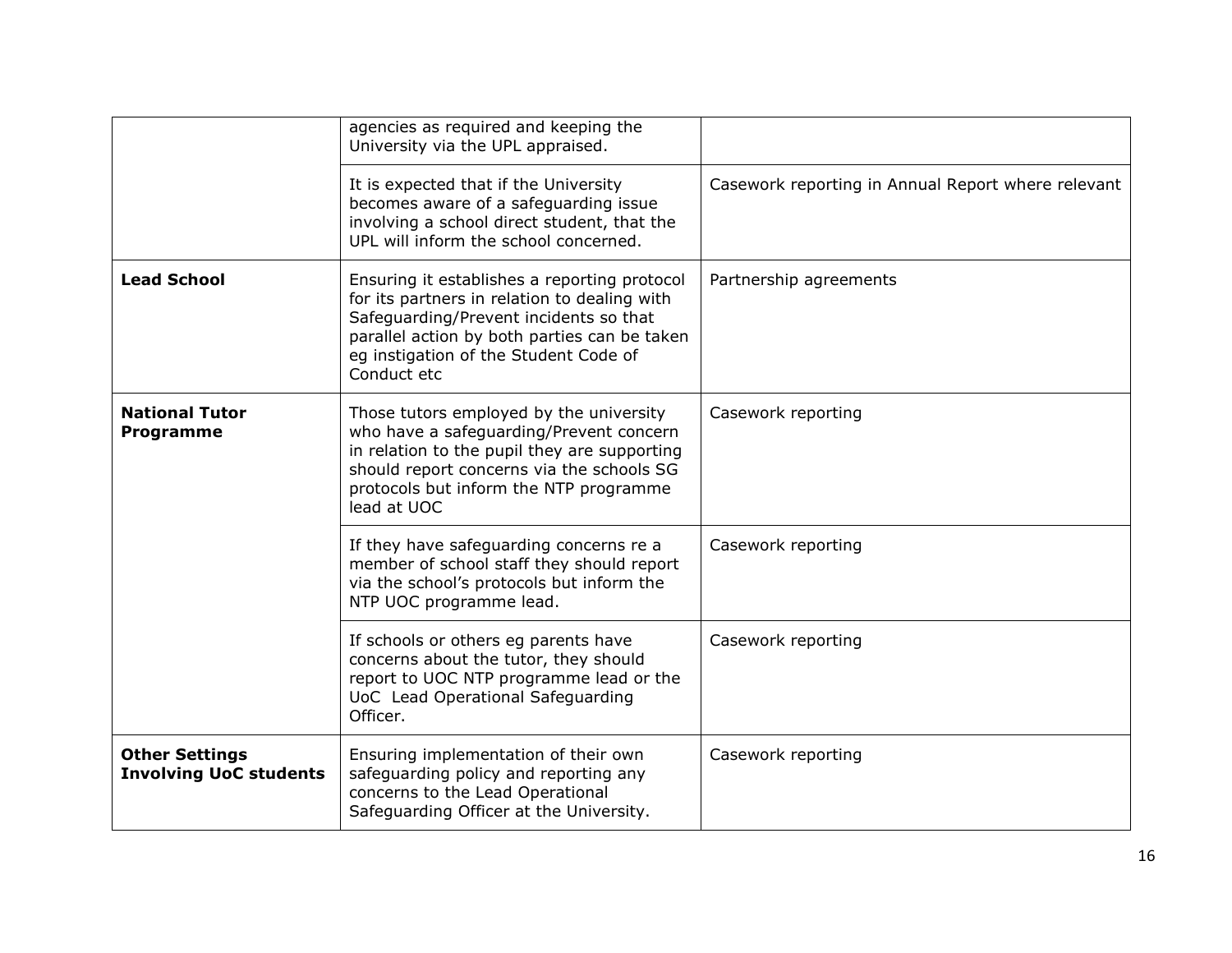|                                                        | agencies as required and keeping the<br>University via the UPL appraised.                                                                                                                                                                      |                                                    |
|--------------------------------------------------------|------------------------------------------------------------------------------------------------------------------------------------------------------------------------------------------------------------------------------------------------|----------------------------------------------------|
|                                                        | It is expected that if the University<br>becomes aware of a safeguarding issue<br>involving a school direct student, that the<br>UPL will inform the school concerned.                                                                         | Casework reporting in Annual Report where relevant |
| <b>Lead School</b>                                     | Ensuring it establishes a reporting protocol<br>for its partners in relation to dealing with<br>Safeguarding/Prevent incidents so that<br>parallel action by both parties can be taken<br>eg instigation of the Student Code of<br>Conduct etc | Partnership agreements                             |
| <b>National Tutor</b><br><b>Programme</b>              | Those tutors employed by the university<br>who have a safeguarding/Prevent concern<br>in relation to the pupil they are supporting<br>should report concerns via the schools SG<br>protocols but inform the NTP programme<br>lead at UOC       | Casework reporting                                 |
|                                                        | If they have safeguarding concerns re a<br>member of school staff they should report<br>via the school's protocols but inform the<br>NTP UOC programme lead.                                                                                   | Casework reporting                                 |
|                                                        | If schools or others eg parents have<br>concerns about the tutor, they should<br>report to UOC NTP programme lead or the<br>UoC Lead Operational Safeguarding<br>Officer.                                                                      | Casework reporting                                 |
| <b>Other Settings</b><br><b>Involving UoC students</b> | Ensuring implementation of their own<br>safeguarding policy and reporting any<br>concerns to the Lead Operational<br>Safeguarding Officer at the University.                                                                                   | Casework reporting                                 |